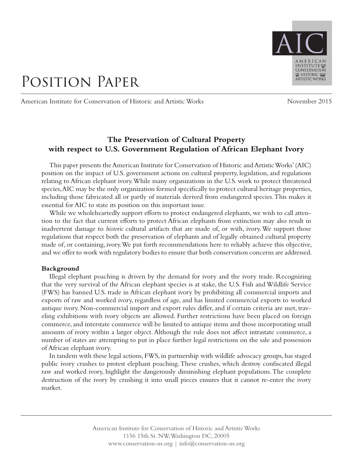

# Position Paper

American Institute for Conservation of Historic and Artistic Works November 2015

# **The Preservation of Cultural Property with respect to U.S. Government Regulation of African Elephant Ivory**

This paper presents the American Institute for Conservation of Historic and Artistic Works' (AIC) position on the impact of U.S. government actions on cultural property, legislation, and regulations relating to African elephant ivory. While many organizations in the U.S. work to protect threatened species, AIC may be the only organization formed specifically to protect cultural heritage properties, including those fabricated all or partly of materials derived from endangered species. This makes it essential for AIC to state its position on this important issue.

While we wholeheartedly support efforts to protect endangered elephants, we wish to call attention to the fact that current efforts to protect African elephants from extinction may also result in inadvertent damage to *historic* cultural artifacts that are made of, or with, ivory. We support those regulations that respect both the preservation of elephants and of legally obtained cultural property made of, or containing, ivory. We put forth recommendations here to reliably achieve this objective, and we offer to work with regulatory bodies to ensure that both conservation concerns are addressed.

## **Background**

Illegal elephant poaching is driven by the demand for ivory and the ivory trade. Recognizing that the very survival of the African elephant species is at stake, the U.S. Fish and Wildlife Service (FWS) has banned U.S. trade in African elephant ivory by prohibiting all commercial imports and exports of raw and worked ivory, regardless of age, and has limited commercial exports to worked antique ivory. Non-commercial import and export rules differ, and if certain criteria are met, traveling exhibitions with ivory objects are allowed. Further restrictions have been placed on foreign commerce, and interstate commerce will be limited to antique items and those incorporating small amounts of ivory within a larger object. Although the rule does not affect intrastate commerce, a number of states are attempting to put in place further legal restrictions on the sale and possession of African elephant ivory.

In tandem with these legal actions, FWS, in partnership with wildlife advocacy groups, has staged public ivory crushes to protest elephant poaching. These crushes, which destroy confiscated illegal raw and worked ivory, highlight the dangerously diminishing elephant populations. The complete destruction of the ivory by crushing it into small pieces ensures that it cannot re-enter the ivory market.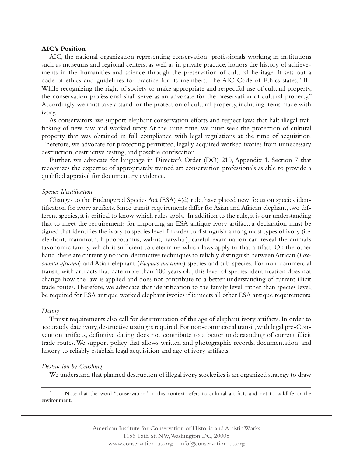## **AIC's Position**

AIC, the national organization representing conservation<sup>1</sup> professionals working in institutions such as museums and regional centers, as well as in private practice, honors the history of achievements in the humanities and science through the preservation of cultural heritage. It sets out a code of ethics and guidelines for practice for its members. The AIC Code of Ethics states, "III. While recognizing the right of society to make appropriate and respectful use of cultural property, the conservation professional shall serve as an advocate for the preservation of cultural property." Accordingly, we must take a stand for the protection of cultural property, including items made with ivory.

As conservators, we support elephant conservation efforts and respect laws that halt illegal trafficking of new raw and worked ivory. At the same time, we must seek the protection of cultural property that was obtained in full compliance with legal regulations at the time of acquisition. Therefore, we advocate for protecting permitted, legally acquired worked ivories from unnecessary destruction, destructive testing, and possible confiscation.

Further, we advocate for language in Director's Order (DO) 210, Appendix 1, Section 7 that recognizes the expertise of appropriately trained art conservation professionals as able to provide a qualified appraisal for documentary evidence.

## *Species Identification*

Changes to the Endangered Species Act (ESA) 4(d) rule, have placed new focus on species identification for ivory artifacts. Since transit requirements differ for Asian and African elephant, two different species, it is critical to know which rules apply. In addition to the rule, it is our understanding that to meet the requirements for importing an ESA antique ivory artifact, a declaration must be signed that identifies the ivory to species level. In order to distinguish among most types of ivory (i.e. elephant, mammoth, hippopotamus, walrus, narwhal), careful examination can reveal the animal's taxonomic family, which is sufficient to determine which laws apply to that artifact. On the other hand, there are currently no non-destructive techniques to reliably distinguish between African (*Loxodonta africana*) and Asian elephant (*Elephas maximus*) species and sub-species. For non-commercial transit, with artifacts that date more than 100 years old, this level of species identification does not change how the law is applied and does not contribute to a better understanding of current illicit trade routes. Therefore, we advocate that identification to the family level, rather than species level, be required for ESA antique worked elephant ivories if it meets all other ESA antique requirements.

#### *Dating*

Transit requirements also call for determination of the age of elephant ivory artifacts. In order to accurately date ivory, destructive testing is required. For non-commercial transit, with legal pre-Convention artifacts, definitive dating does not contribute to a better understanding of current illicit trade routes. We support policy that allows written and photographic records, documentation, and history to reliably establish legal acquisition and age of ivory artifacts.

## *Destruction by Crushing*

We understand that planned destruction of illegal ivory stockpiles is an organized strategy to draw

1 Note that the word "conservation" in this context refers to cultural artifacts and not to wildlife or the environment.